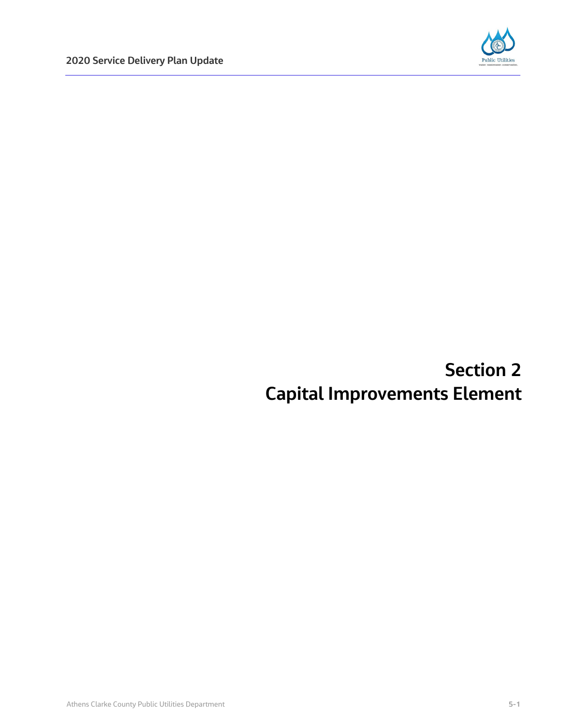

# **Section 2 Capital Improvements Element**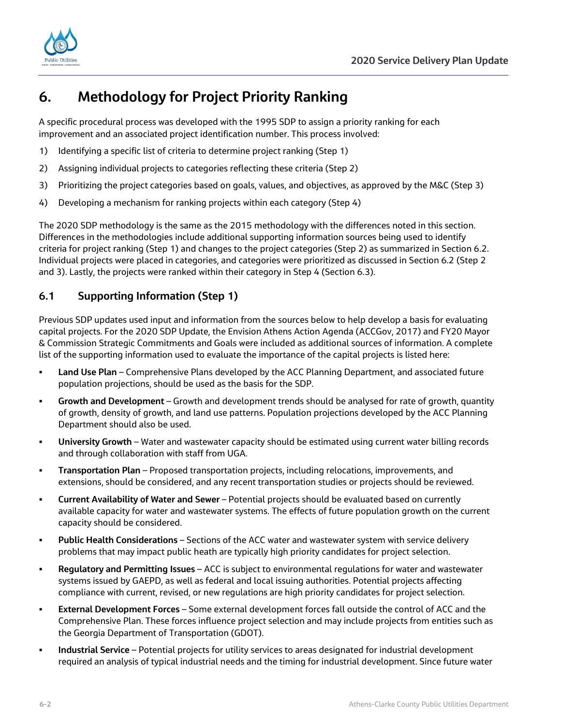



# **6. Methodology for Project Priority Ranking**

A specific procedural process was developed with the 1995 SDP to assign a priority ranking for each improvement and an associated project identification number. This process involved:

- 1) Identifying a specific list of criteria to determine project ranking (Step 1)
- 2) Assigning individual projects to categories reflecting these criteria (Step 2)
- 3) Prioritizing the project categories based on goals, values, and objectives, as approved by the M&C (Step 3)
- 4) Developing a mechanism for ranking projects within each category (Step 4)

The 2020 SDP methodology is the same as the 2015 methodology with the differences noted in this section. Differences in the methodologies include additional supporting information sources being used to identify criteria for project ranking (Step 1) and changes to the project categories (Step 2) as summarized in Section 6.2. Individual projects were placed in categories, and categories were prioritized as discussed in Section 6.2 (Step 2 and 3). Lastly, the projects were ranked within their category in Step 4 (Section 6.3).

# **6.1 Supporting Information (Step 1)**

Previous SDP updates used input and information from the sources below to help develop a basis for evaluating capital projects. For the 2020 SDP Update, the Envision Athens Action Agenda (ACCGov, 2017) and FY20 Mayor & Commission Strategic Commitments and Goals were included as additional sources of information. A complete list of the supporting information used to evaluate the importance of the capital projects is listed here:

- **Land Use Plan** Comprehensive Plans developed by the ACC Planning Department, and associated future population projections, should be used as the basis for the SDP.
- **Growth and Development**  Growth and development trends should be analysed for rate of growth, quantity of growth, density of growth, and land use patterns. Population projections developed by the ACC Planning Department should also be used.
- **University Growth** Water and wastewater capacity should be estimated using current water billing records and through collaboration with staff from UGA.
- **Transportation Plan** Proposed transportation projects, including relocations, improvements, and extensions, should be considered, and any recent transportation studies or projects should be reviewed.
- **Current Availability of Water and Sewer** Potential projects should be evaluated based on currently available capacity for water and wastewater systems. The effects of future population growth on the current capacity should be considered.
- **Public Health Considerations** Sections of the ACC water and wastewater system with service delivery problems that may impact public heath are typically high priority candidates for project selection.
- **Regulatory and Permitting Issues** ACC is subject to environmental regulations for water and wastewater systems issued by GAEPD, as well as federal and local issuing authorities. Potential projects affecting compliance with current, revised, or new regulations are high priority candidates for project selection.
- **External Development Forces** Some external development forces fall outside the control of ACC and the Comprehensive Plan. These forces influence project selection and may include projects from entities such as the Georgia Department of Transportation (GDOT).
- **Industrial Service** Potential projects for utility services to areas designated for industrial development required an analysis of typical industrial needs and the timing for industrial development. Since future water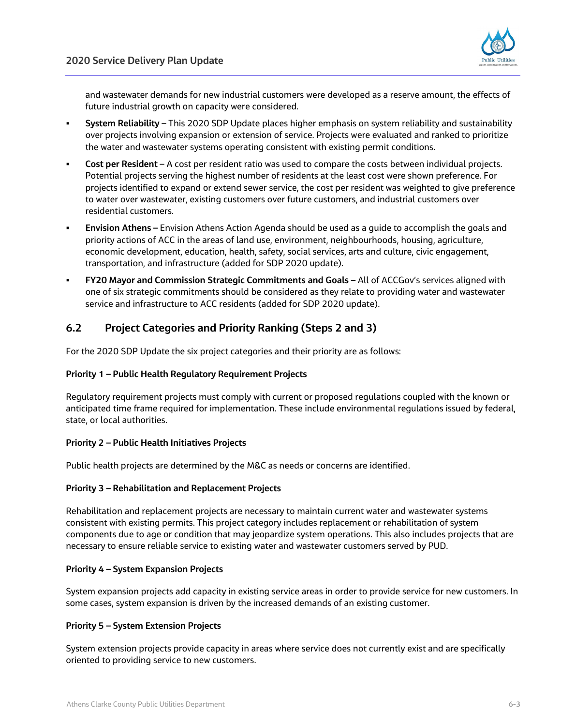

and wastewater demands for new industrial customers were developed as a reserve amount, the effects of future industrial growth on capacity were considered.

- **System Reliability** This 2020 SDP Update places higher emphasis on system reliability and sustainability over projects involving expansion or extension of service. Projects were evaluated and ranked to prioritize the water and wastewater systems operating consistent with existing permit conditions.
- **Cost per Resident** A cost per resident ratio was used to compare the costs between individual projects. Potential projects serving the highest number of residents at the least cost were shown preference. For projects identified to expand or extend sewer service, the cost per resident was weighted to give preference to water over wastewater, existing customers over future customers, and industrial customers over residential customers.
- **Envision Athens –** Envision Athens Action Agenda should be used as a guide to accomplish the goals and priority actions of ACC in the areas of land use, environment, neighbourhoods, housing, agriculture, economic development, education, health, safety, social services, arts and culture, civic engagement, transportation, and infrastructure (added for SDP 2020 update).
- **FY20 Mayor and Commission Strategic Commitments and Goals –** All of ACCGov's services aligned with one of six strategic commitments should be considered as they relate to providing water and wastewater service and infrastructure to ACC residents (added for SDP 2020 update).

### **6.2 Project Categories and Priority Ranking (Steps 2 and 3)**

For the 2020 SDP Update the six project categories and their priority are as follows:

#### **Priority 1 – Public Health Regulatory Requirement Projects**

Regulatory requirement projects must comply with current or proposed regulations coupled with the known or anticipated time frame required for implementation. These include environmental regulations issued by federal, state, or local authorities.

#### **Priority 2 – Public Health Initiatives Projects**

Public health projects are determined by the M&C as needs or concerns are identified.

#### **Priority 3 – Rehabilitation and Replacement Projects**

Rehabilitation and replacement projects are necessary to maintain current water and wastewater systems consistent with existing permits. This project category includes replacement or rehabilitation of system components due to age or condition that may jeopardize system operations. This also includes projects that are necessary to ensure reliable service to existing water and wastewater customers served by PUD.

#### **Priority 4 – System Expansion Projects**

System expansion projects add capacity in existing service areas in order to provide service for new customers. In some cases, system expansion is driven by the increased demands of an existing customer.

#### **Priority 5 – System Extension Projects**

System extension projects provide capacity in areas where service does not currently exist and are specifically oriented to providing service to new customers.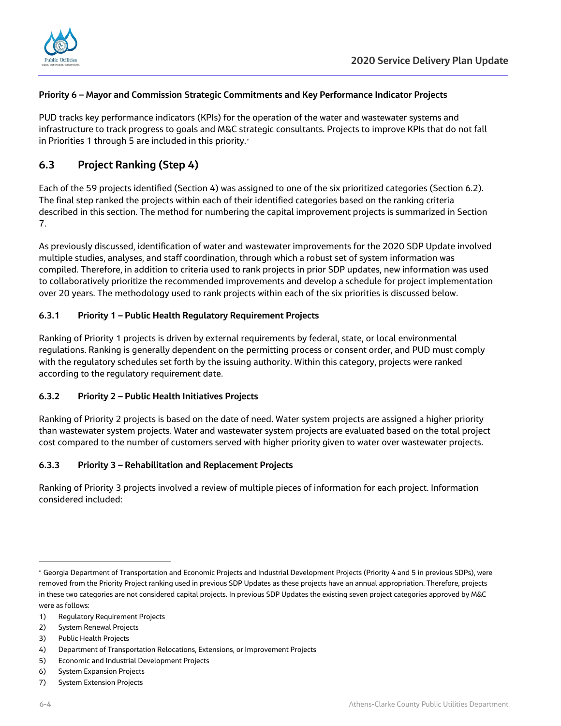

#### **Priority 6 – Mayor and Commission Strategic Commitments and Key Performance Indicator Projects**

PUD tracks key performance indicators (KPIs) for the operation of the water and wastewater systems and infrastructure to track progress to goals and M&C strategic consultants. Projects to improve KPIs that do not fall in Priorities 1 through 5 are included in this priority.[∗](#page-3-0)

# **6.3 Project Ranking (Step 4)**

Each of the 59 projects identified (Section 4) was assigned to one of the six prioritized categories (Section 6.2). The final step ranked the projects within each of their identified categories based on the ranking criteria described in this section. The method for numbering the capital improvement projects is summarized in Section 7.

As previously discussed, identification of water and wastewater improvements for the 2020 SDP Update involved multiple studies, analyses, and staff coordination, through which a robust set of system information was compiled. Therefore, in addition to criteria used to rank projects in prior SDP updates, new information was used to collaboratively prioritize the recommended improvements and develop a schedule for project implementation over 20 years. The methodology used to rank projects within each of the six priorities is discussed below.

#### **6.3.1 Priority 1 – Public Health Regulatory Requirement Projects**

Ranking of Priority 1 projects is driven by external requirements by federal, state, or local environmental regulations. Ranking is generally dependent on the permitting process or consent order, and PUD must comply with the regulatory schedules set forth by the issuing authority. Within this category, projects were ranked according to the regulatory requirement date.

#### **6.3.2 Priority 2 – Public Health Initiatives Projects**

Ranking of Priority 2 projects is based on the date of need. Water system projects are assigned a higher priority than wastewater system projects. Water and wastewater system projects are evaluated based on the total project cost compared to the number of customers served with higher priority given to water over wastewater projects.

#### **6.3.3 Priority 3 – Rehabilitation and Replacement Projects**

Ranking of Priority 3 projects involved a review of multiple pieces of information for each project. Information considered included:

2) System Renewal Projects

 $\overline{a}$ 

<span id="page-3-0"></span><sup>∗</sup> Georgia Department of Transportation and Economic Projects and Industrial Development Projects (Priority 4 and 5 in previous SDPs), were removed from the Priority Project ranking used in previous SDP Updates as these projects have an annual appropriation. Therefore, projects in these two categories are not considered capital projects. In previous SDP Updates the existing seven project categories approved by M&C were as follows:

<sup>1)</sup> Regulatory Requirement Projects

<sup>3)</sup> Public Health Projects

<sup>4)</sup> Department of Transportation Relocations, Extensions, or Improvement Projects

<sup>5)</sup> Economic and Industrial Development Projects

<sup>6)</sup> System Expansion Projects

<sup>7)</sup> System Extension Projects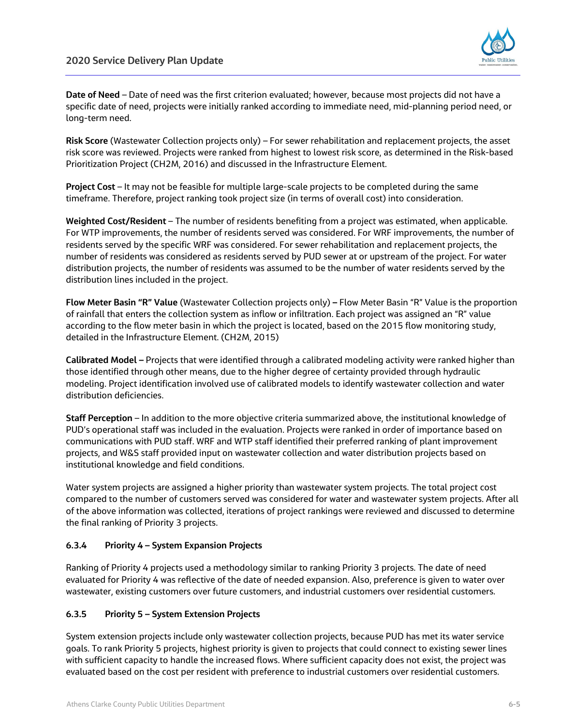

**Date of Need** – Date of need was the first criterion evaluated; however, because most projects did not have a specific date of need, projects were initially ranked according to immediate need, mid-planning period need, or long-term need.

**Risk Score** (Wastewater Collection projects only) – For sewer rehabilitation and replacement projects, the asset risk score was reviewed. Projects were ranked from highest to lowest risk score, as determined in the Risk-based Prioritization Project (CH2M, 2016) and discussed in the Infrastructure Element.

**Project Cost** – It may not be feasible for multiple large-scale projects to be completed during the same timeframe. Therefore, project ranking took project size (in terms of overall cost) into consideration.

**Weighted Cost/Resident** – The number of residents benefiting from a project was estimated, when applicable. For WTP improvements, the number of residents served was considered. For WRF improvements, the number of residents served by the specific WRF was considered. For sewer rehabilitation and replacement projects, the number of residents was considered as residents served by PUD sewer at or upstream of the project. For water distribution projects, the number of residents was assumed to be the number of water residents served by the distribution lines included in the project.

**Flow Meter Basin "R" Value** (Wastewater Collection projects only) **–** Flow Meter Basin "R" Value is the proportion of rainfall that enters the collection system as inflow or infiltration. Each project was assigned an "R" value according to the flow meter basin in which the project is located, based on the 2015 flow monitoring study, detailed in the Infrastructure Element. (CH2M, 2015)

**Calibrated Model –** Projects that were identified through a calibrated modeling activity were ranked higher than those identified through other means, due to the higher degree of certainty provided through hydraulic modeling. Project identification involved use of calibrated models to identify wastewater collection and water distribution deficiencies.

**Staff Perception** – In addition to the more objective criteria summarized above, the institutional knowledge of PUD's operational staff was included in the evaluation. Projects were ranked in order of importance based on communications with PUD staff. WRF and WTP staff identified their preferred ranking of plant improvement projects, and W&S staff provided input on wastewater collection and water distribution projects based on institutional knowledge and field conditions.

Water system projects are assigned a higher priority than wastewater system projects. The total project cost compared to the number of customers served was considered for water and wastewater system projects. After all of the above information was collected, iterations of project rankings were reviewed and discussed to determine the final ranking of Priority 3 projects.

#### **6.3.4 Priority 4 – System Expansion Projects**

Ranking of Priority 4 projects used a methodology similar to ranking Priority 3 projects. The date of need evaluated for Priority 4 was reflective of the date of needed expansion. Also, preference is given to water over wastewater, existing customers over future customers, and industrial customers over residential customers.

#### **6.3.5 Priority 5 – System Extension Projects**

System extension projects include only wastewater collection projects, because PUD has met its water service goals. To rank Priority 5 projects, highest priority is given to projects that could connect to existing sewer lines with sufficient capacity to handle the increased flows. Where sufficient capacity does not exist, the project was evaluated based on the cost per resident with preference to industrial customers over residential customers.